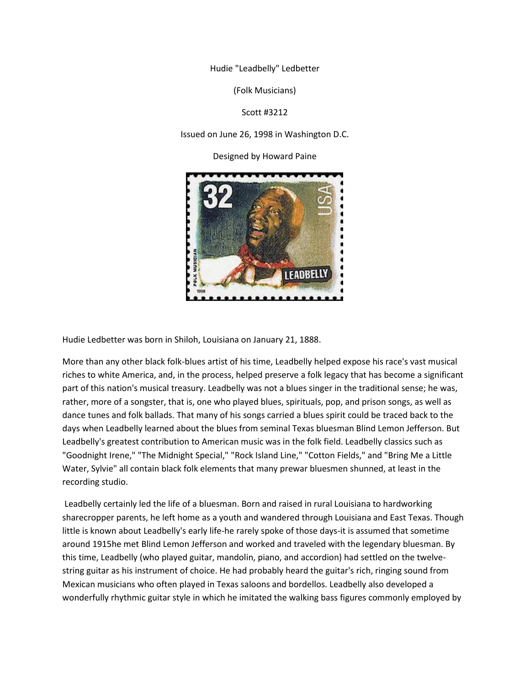Hudie "Leadbelly" Ledbetter

(Folk Musicians)

## Scott #3212

Issued on June 26, 1998 in Washington D.C.

Designed by Howard Paine



Hudie Ledbetter was born in Shiloh, Louisiana on January 21, 1888.

More than any other black folk-blues artist of his time, Leadbelly helped expose his race's vast musical riches to white America, and, in the process, helped preserve a folk legacy that has become a significant part of this nation's musical treasury. Leadbelly was not a blues singer in the traditional sense; he was, rather, more of a songster, that is, one who played blues, spirituals, pop, and prison songs, as well as dance tunes and folk ballads. That many of his songs carried a blues spirit could be traced back to the days when Leadbelly learned about the blues from seminal Texas bluesman Blind Lemon Jefferson. But Leadbelly's greatest contribution to American music was in the folk field. Leadbelly classics such as "Goodnight Irene," "The Midnight Special," "Rock Island Line," "Cotton Fields," and "Bring Me a Little Water, Sylvie" all contain black folk elements that many prewar bluesmen shunned, at least in the recording studio.

Leadbelly certainly led the life of a bluesman. Born and raised in rural Louisiana to hardworking sharecropper parents, he left home as a youth and wandered through Louisiana and East Texas. Though little is known about Leadbelly's early life-he rarely spoke of those days-it is assumed that sometime around 1915he met Blind Lemon Jefferson and worked and traveled with the legendary bluesman. By this time, Leadbelly (who played guitar, mandolin, piano, and accordion) had settled on the twelvestring guitar as his instrument of choice. He had probably heard the guitar's rich, ringing sound from Mexican musicians who often played in Texas saloons and bordellos. Leadbelly also developed a wonderfully rhythmic guitar style in which he imitated the walking bass figures commonly employed by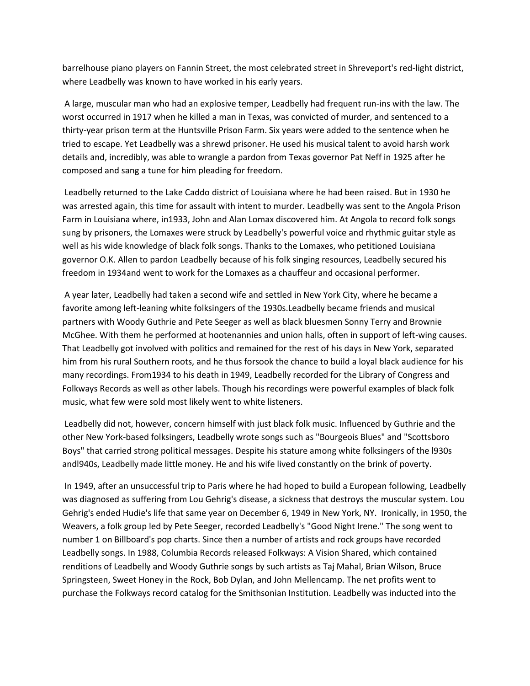barrelhouse piano players on Fannin Street, the most celebrated street in Shreveport's red-light district, where Leadbelly was known to have worked in his early years.

A large, muscular man who had an explosive temper, Leadbelly had frequent run-ins with the law. The worst occurred in 1917 when he killed a man in Texas, was convicted of murder, and sentenced to a thirty-year prison term at the Huntsville Prison Farm. Six years were added to the sentence when he tried to escape. Yet Leadbelly was a shrewd prisoner. He used his musical talent to avoid harsh work details and, incredibly, was able to wrangle a pardon from Texas governor Pat Neff in 1925 after he composed and sang a tune for him pleading for freedom.

Leadbelly returned to the Lake Caddo district of Louisiana where he had been raised. But in 1930 he was arrested again, this time for assault with intent to murder. Leadbelly was sent to the Angola Prison Farm in Louisiana where, in1933, John and Alan Lomax discovered him. At Angola to record folk songs sung by prisoners, the Lomaxes were struck by Leadbelly's powerful voice and rhythmic guitar style as well as his wide knowledge of black folk songs. Thanks to the Lomaxes, who petitioned Louisiana governor O.K. Allen to pardon Leadbelly because of his folk singing resources, Leadbelly secured his freedom in 1934and went to work for the Lomaxes as a chauffeur and occasional performer.

A year later, Leadbelly had taken a second wife and settled in New York City, where he became a favorite among left-leaning white folksingers of the 1930s.Leadbelly became friends and musical partners with Woody Guthrie and Pete Seeger as well as black bluesmen Sonny Terry and Brownie McGhee. With them he performed at hootenannies and union halls, often in support of left-wing causes. That Leadbelly got involved with politics and remained for the rest of his days in New York, separated him from his rural Southern roots, and he thus forsook the chance to build a loyal black audience for his many recordings. From1934 to his death in 1949, Leadbelly recorded for the Library of Congress and Folkways Records as well as other labels. Though his recordings were powerful examples of black folk music, what few were sold most likely went to white listeners.

Leadbelly did not, however, concern himself with just black folk music. Influenced by Guthrie and the other New York-based folksingers, Leadbelly wrote songs such as "Bourgeois Blues" and "Scottsboro Boys" that carried strong political messages. Despite his stature among white folksingers of the l930s andl940s, Leadbelly made little money. He and his wife lived constantly on the brink of poverty.

In 1949, after an unsuccessful trip to Paris where he had hoped to build a European following, Leadbelly was diagnosed as suffering from Lou Gehrig's disease, a sickness that destroys the muscular system. Lou Gehrig's ended Hudie's life that same year on December 6, 1949 in New York, NY. Ironically, in 1950, the Weavers, a folk group led by Pete Seeger, recorded Leadbelly's "Good Night Irene." The song went to number 1 on Billboard's pop charts. Since then a number of artists and rock groups have recorded Leadbelly songs. In 1988, Columbia Records released Folkways: A Vision Shared, which contained renditions of Leadbelly and Woody Guthrie songs by such artists as Taj Mahal, Brian Wilson, Bruce Springsteen, Sweet Honey in the Rock, Bob Dylan, and John Mellencamp. The net profits went to purchase the Folkways record catalog for the Smithsonian Institution. Leadbelly was inducted into the